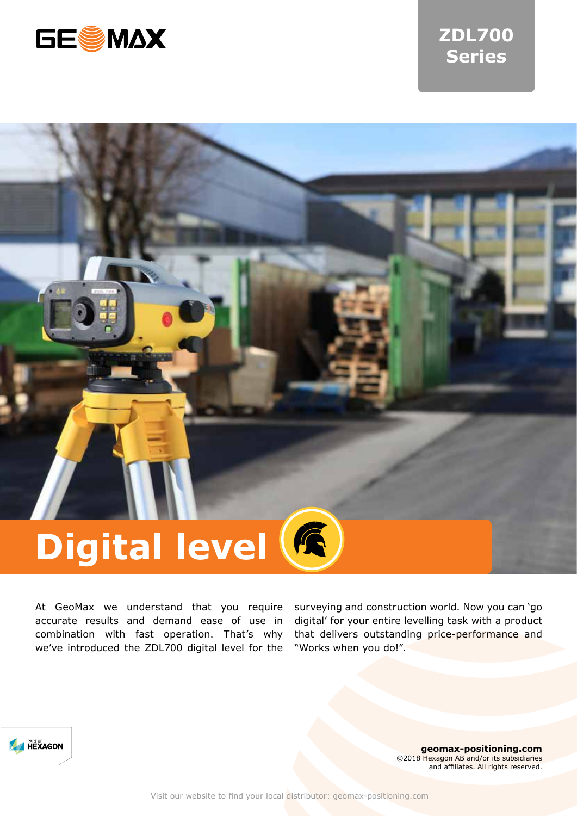

# **ZDL700 Series**

# **Digital level**

At GeoMax we understand that you require accurate results and demand ease of use in combination with fast operation. That's why we've introduced the ZDL700 digital level for the

surveying and construction world. Now you can 'go digital' for your entire levelling task with a product that delivers outstanding price-performance and "Works when you do!".



**geomax-positioning.com** ©2018 Hexagon AB and/or its subsidiaries and affiliates. All rights reserved.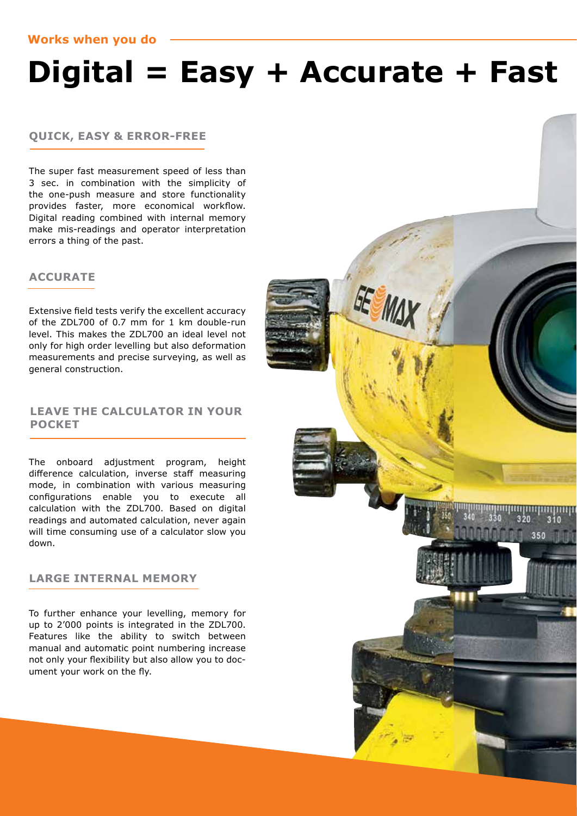# **Digital = Easy + Accurate + Fast**

GE<sub>1</sub>

350

## **QUICK, EASY & ERROR-FREE**

The super fast measurement speed of less than 3 sec. in combination with the simplicity of the one-push measure and store functionality provides faster, more economical workflow. Digital reading combined with internal memory make mis-readings and operator interpretation errors a thing of the past.

# **ACCURATE**

Extensive field tests verify the excellent accuracy of the ZDL700 of 0.7 mm for 1 km double-run level. This makes the ZDL700 an ideal level not only for high order levelling but also deformation measurements and precise surveying, as well as general construction.

# **LEAVE THE CALCULATOR IN YOUR POCKET**

The onboard adjustment program, height difference calculation, inverse staff measuring mode, in combination with various measuring configurations enable you to execute all calculation with the ZDL700. Based on digital readings and automated calculation, never again will time consuming use of a calculator slow you down.

# **LARGE INTERNAL MEMORY**

To further enhance your levelling, memory for up to 2'000 points is integrated in the ZDL700. Features like the ability to switch between manual and automatic point numbering increase not only your flexibility but also allow you to document your work on the fly.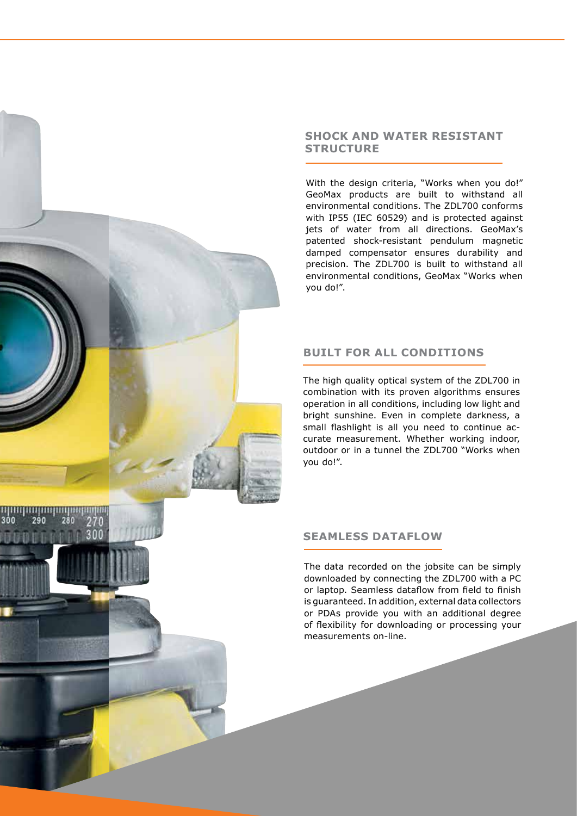## **SHOCK AND WATER RESISTANT STRUCTURE**

With the design criteria, "Works when you do!" GeoMax products are built to withstand all environmental conditions. The ZDL700 conforms with IP55 (IEC 60529) and is protected against jets of water from all directions. GeoMax's patented shock-resistant pendulum magnetic damped compensator ensures durability and precision. The ZDL700 is built to withstand all environmental conditions, GeoMax "Works when you do!".

# **BUILT FOR ALL CONDITIONS**

The high quality optical system of the ZDL700 in combination with its proven algorithms ensures operation in all conditions, including low light and bright sunshine. Even in complete darkness, a small flashlight is all you need to continue accurate measurement. Whether working indoor, outdoor or in a tunnel the ZDL700 "Works when you do!".

# **SEAMLESS DATAFLOW**

290

280

300

The data recorded on the jobsite can be simply downloaded by connecting the ZDL700 with a PC or laptop. Seamless dataflow from field to finish is guaranteed. In addition, external data collectors or PDAs provide you with an additional degree of flexibility for downloading or processing your measurements on-line.